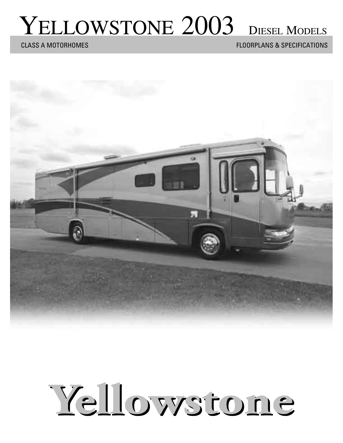# YELLOWSTONE 2003 DIESEL MODELS

CLASS A MOTORHOMES FLOORPLANS & SPECIFICATIONS



# Yellowstone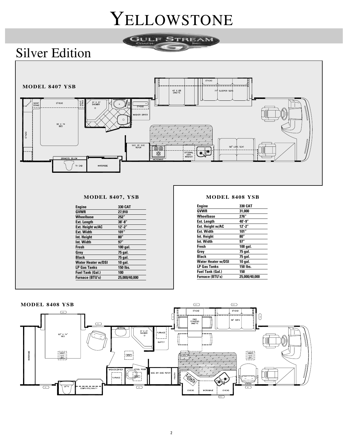### YELLOWSTONE

TREAM

31.11.17

### Silver Edition



| Engine                    | 330 CAT       |
|---------------------------|---------------|
| <b>GVWR</b>               | 27,910        |
| Wheelbase                 | 252"          |
| <b>Ext. Length</b>        | $38' - 8''$   |
| Ext. Height w/AC          | $12' - 2''$   |
| <b>Ext. Width</b>         | 101"          |
| Int. Height               | 80"           |
| Int. Width                | 97"           |
| <b>Fresh</b>              | 100 gal.      |
| Grey                      | 75 gal.       |
| <b>Black</b>              | 75 gal.       |
| <b>Water Heater w/DSI</b> | 10 gal.       |
| <b>LP Gas Tanks</b>       | 150 lbs.      |
| <b>Fuel Tank (Gal.)</b>   | 100           |
| Furnace (BTU's)           | 25.000/40.000 |

| <b>Engine</b>             | 330 CAT                          |
|---------------------------|----------------------------------|
| <b>GVWR</b>               | 31,000                           |
| Wheelbase                 | 276"                             |
| Ext. Length               | 40′-9″                           |
| Ext. Height w/AC          | $12^{\prime} - 2^{\prime\prime}$ |
| <b>Ext. Width</b>         | 101"                             |
| Int. Height               | 80"                              |
| Int. Width                | 97"                              |
| Fresh                     | 100 gal.                         |
| Grey                      | 75 gal.                          |
| <b>Black</b>              | 75 gal.                          |
| <b>Water Heater w/DSI</b> | 10 gal.                          |
| <b>LP Gas Tanks</b>       | 150 lbs.                         |
| <b>Fuel Tank (Gal.)</b>   | 150                              |
| <b>Furnace (BTU's)</b>    | 25.000/40.000                    |
|                           |                                  |

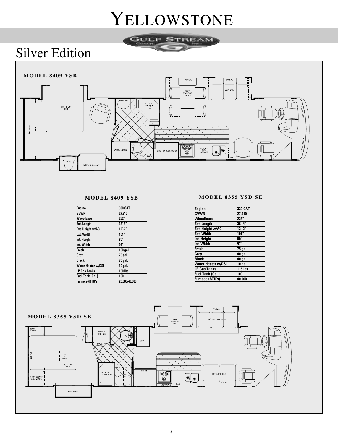### YELLOWSTONE

REAM

**STATE** 





#### **MODEL 8409 YSB**

| 330 CAT       |
|---------------|
| 27,910        |
| 252"          |
| $38' - 8''$   |
| $12' - 2''$   |
| 101"          |
| 80''          |
| 97"           |
| 100 gal.      |
| 75 gal.       |
| 75 gal.       |
| 10 gal.       |
| 150 lbs.      |
| 100           |
| 25.000/40.000 |
|               |

#### **MODEL 8355 YSD SE**

| Engine                    | 330 CAT     |
|---------------------------|-------------|
| <b>GVWR</b>               | 27,910      |
| <b>Wheelbase</b>          | 228"        |
| <b>Ext. Length</b>        | $36' - 4''$ |
| Ext. Height w/AC          | $12' - 2''$ |
| <b>Ext. Width</b>         | 101"        |
| Int. Height               | 80"         |
| Int. Width                | 97"         |
| Fresh                     | 75 gal.     |
| Grev                      | 40 gal.     |
| <b>Black</b>              | 40 gal.     |
| <b>Water Heater w/DSI</b> | 10 gal.     |
| <b>LP Gas Tanks</b>       | 115 lbs.    |
| <b>Fuel Tank (Gal.)</b>   | 100         |
| <b>Furnace (BTU's)</b>    | 40,000      |